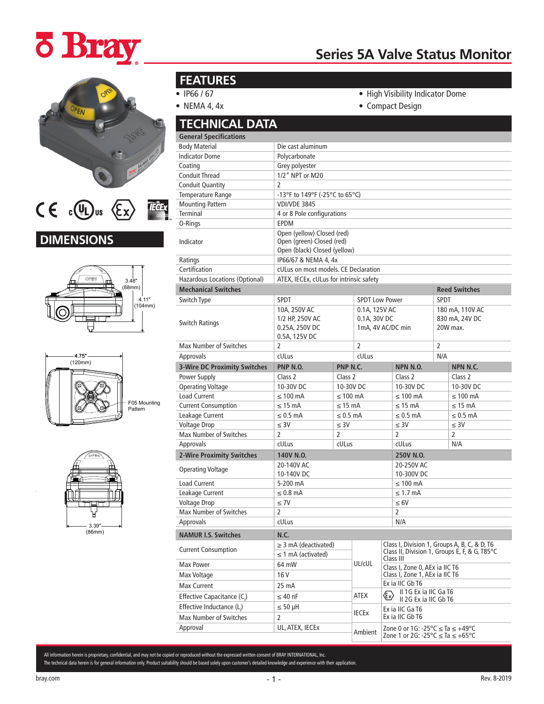## **¿ Bray**

## **Series 5A Valve Status Monitor**



#### $CE$  c(U) us  $\langle Ex \rangle$ **TECEX**

### **DIMENSIONS**







### **FEATURES**

- IP66 / 67
- NEMA 4, 4x
- High Visibility Indicator Dome
- Compact Design

|              | <b>TECHNICAL DATA</b>               |                                                                                         |                                                    |                               |                                                                                         |                                               |  |
|--------------|-------------------------------------|-----------------------------------------------------------------------------------------|----------------------------------------------------|-------------------------------|-----------------------------------------------------------------------------------------|-----------------------------------------------|--|
|              | <b>General Specifications</b>       |                                                                                         |                                                    |                               |                                                                                         |                                               |  |
|              | <b>Body Material</b>                | Die cast aluminum                                                                       |                                                    |                               |                                                                                         |                                               |  |
|              | <b>Indicator Dome</b>               | Polycarbonate                                                                           |                                                    |                               |                                                                                         |                                               |  |
|              | Coating                             | Grey polyester                                                                          |                                                    |                               |                                                                                         |                                               |  |
|              | <b>Conduit Thread</b>               | 1/2" NPT or M20                                                                         |                                                    |                               |                                                                                         |                                               |  |
|              | <b>Conduit Quantity</b>             | 2                                                                                       |                                                    |                               |                                                                                         |                                               |  |
|              | Temperature Range                   | -13°F to 149°F (-25°C to 65°C)                                                          |                                                    |                               |                                                                                         |                                               |  |
|              | <b>Mounting Pattern</b>             | <b>VDI/VDE 3845</b>                                                                     |                                                    |                               |                                                                                         |                                               |  |
|              | Terminal                            | 4 or 8 Pole configurations                                                              |                                                    |                               |                                                                                         |                                               |  |
|              | O-Rings                             | <b>EPDM</b>                                                                             |                                                    |                               |                                                                                         |                                               |  |
|              | Indicator                           | Open (yellow) Closed (red)<br>Open (green) Closed (red)<br>Open (black) Closed (yellow) |                                                    |                               |                                                                                         |                                               |  |
|              | Ratings                             | IP66/67 & NEMA 4, 4x                                                                    |                                                    |                               |                                                                                         |                                               |  |
|              | Certification                       | cULus on most models. CE Declaration                                                    |                                                    |                               |                                                                                         |                                               |  |
|              | Hazardous Locations (Optional)      | ATEX, IECEx, cULus for intrinsic safety                                                 |                                                    |                               |                                                                                         |                                               |  |
|              | <b>Mechanical Switches</b>          |                                                                                         |                                                    |                               |                                                                                         | <b>Reed Switches</b>                          |  |
|              | Switch Type                         | SPDT                                                                                    |                                                    | <b>SPDT Low Power</b>         |                                                                                         | <b>SPDT</b>                                   |  |
| (104mm)      | <b>Switch Ratings</b>               | 10A, 250V AC<br>1/2 HP, 250V AC<br>0.25A, 250V DC<br>0.5A, 125V DC                      |                                                    | 0.1A, 125V AC<br>0.1A, 30V DC | 1mA, 4V AC/DC min                                                                       | 180 mA, 110V AC<br>830 mA, 24V DC<br>20W max. |  |
|              | <b>Max Number of Switches</b>       | $\overline{2}$                                                                          |                                                    | $\overline{2}$                |                                                                                         | $\overline{2}$                                |  |
|              | Approvals                           | cULus                                                                                   |                                                    | cULus                         |                                                                                         | N/A                                           |  |
|              | <b>3-Wire DC Proximity Switches</b> | PNP N.O.                                                                                | PNP N.C.                                           |                               | <b>NPN N.O.</b>                                                                         | NPN N.C.                                      |  |
|              | Power Supply                        | Class 2                                                                                 | Class 2                                            |                               | Class 2                                                                                 | Class 2                                       |  |
|              | <b>Operating Voltage</b>            | 10-30V DC                                                                               | 10-30V DC                                          |                               | 10-30V DC                                                                               | 10-30V DC                                     |  |
|              | <b>Load Current</b>                 | $\leq 100$ mA                                                                           | $\leq 100$ mA                                      |                               | $\leq 100$ mA                                                                           | $\leq 100$ mA                                 |  |
| F05 Mounting | <b>Current Consumption</b>          | $\leq$ 15 mA                                                                            | $\leq$ 15 mA                                       |                               | $\leq$ 15 mA                                                                            | $\leq$ 15 mA                                  |  |
|              | Leakage Current                     | $\leq 0.5$ mA                                                                           | $\leq 0.5$ mA                                      |                               | $\leq 0.5$ mA                                                                           | $\leq 0.5$ mA                                 |  |
|              | <b>Voltage Drop</b>                 | $\leq 3V$                                                                               | $\leq$ 3V                                          |                               | $\leq 3V$                                                                               | $\leq$ 3V                                     |  |
|              | <b>Max Number of Switches</b>       | $\overline{2}$                                                                          | 2                                                  |                               | $\overline{2}$                                                                          | 2                                             |  |
|              | Approvals                           | cULus                                                                                   | cULus                                              |                               | cULus                                                                                   | N/A                                           |  |
|              | 2-Wire Proximity Switches           | 140V N.O.                                                                               |                                                    |                               | 250V N.O.                                                                               |                                               |  |
|              |                                     | 20-140V AC                                                                              |                                                    |                               | 20-250V AC                                                                              |                                               |  |
|              | <b>Operating Voltage</b>            | 10-140V DC                                                                              |                                                    |                               | 10-300V DC                                                                              |                                               |  |
|              | <b>Load Current</b>                 | 5-200 mA                                                                                |                                                    |                               | $\leq 100$ mA                                                                           |                                               |  |
|              | Leakage Current                     | $\leq 0.8$ mA                                                                           |                                                    |                               | $\leq 1.7$ mA                                                                           |                                               |  |
|              | <b>Voltage Drop</b>                 | $\leq 7V$                                                                               |                                                    |                               | $\leq 6V$                                                                               |                                               |  |
|              | Max Number of Switches              | $\overline{2}$                                                                          |                                                    |                               | 2                                                                                       |                                               |  |
|              | Approvals                           | cULus                                                                                   |                                                    |                               | N/A                                                                                     |                                               |  |
|              | <b>NAMUR I.S. Switches</b>          | <b>N.C.</b>                                                                             |                                                    |                               |                                                                                         |                                               |  |
|              |                                     | $\geq$ 3 mA (deactivated)                                                               |                                                    |                               |                                                                                         | Class I, Division 1, Groups A, B, C, & D, T6  |  |
|              | <b>Current Consumption</b>          | $\leq$ 1 mA (activated)                                                                 |                                                    |                               | Class III                                                                               | Class II, Division 1, Groups E, F, & G, T85°C |  |
|              | Max Power                           | 64 mW                                                                                   |                                                    | UL/cUL                        | Class I. Zone 0. AEx ia IIC T6                                                          |                                               |  |
|              | Max Voltage                         | 16 <sub>V</sub>                                                                         |                                                    |                               | Class I, Zone 1, AEx ia IIC T6                                                          |                                               |  |
|              | <b>Max Current</b>                  | 25 mA                                                                                   |                                                    |                               | Ex ia IIC Gb T6                                                                         |                                               |  |
|              | Effective Capacitance (C.)          | $\leq 40$ nF                                                                            |                                                    | ATEX                          | II 1G Ex ia IIC Ga T6<br>$\langle\!\!\!\langle \mathbf{\mathbf{x}}\rangle\!\!\!\rangle$ |                                               |  |
|              | Effective Inductance (L.)           | $\leq 50$ µH                                                                            |                                                    |                               | II 2G Ex ia IIC Gb T6                                                                   |                                               |  |
|              | Max Number of Switches              | $\overline{2}$                                                                          | Ex ia IIC Ga T6<br><b>IECEX</b><br>Ex ia IIC Gb T6 |                               |                                                                                         |                                               |  |
|              | Approval                            | UL, ATEX, IECEX                                                                         |                                                    |                               | Zone 0 or 1G: -25 °C ≤ Ta ≤ +49 °C                                                      |                                               |  |
|              |                                     |                                                                                         |                                                    | Ambient                       | Zone 1 or 2G: -25 °C ≤ Ta ≤ +65 °C                                                      |                                               |  |

All information herein is proprietary, confidential, and may not be copied or reproduced without the expressed written consent of BRAY INTERNATIONAL, Inc. The technical data herein is for general information only. Product suitability should be based solely upon customer's detailed knowledge and experience with their application.